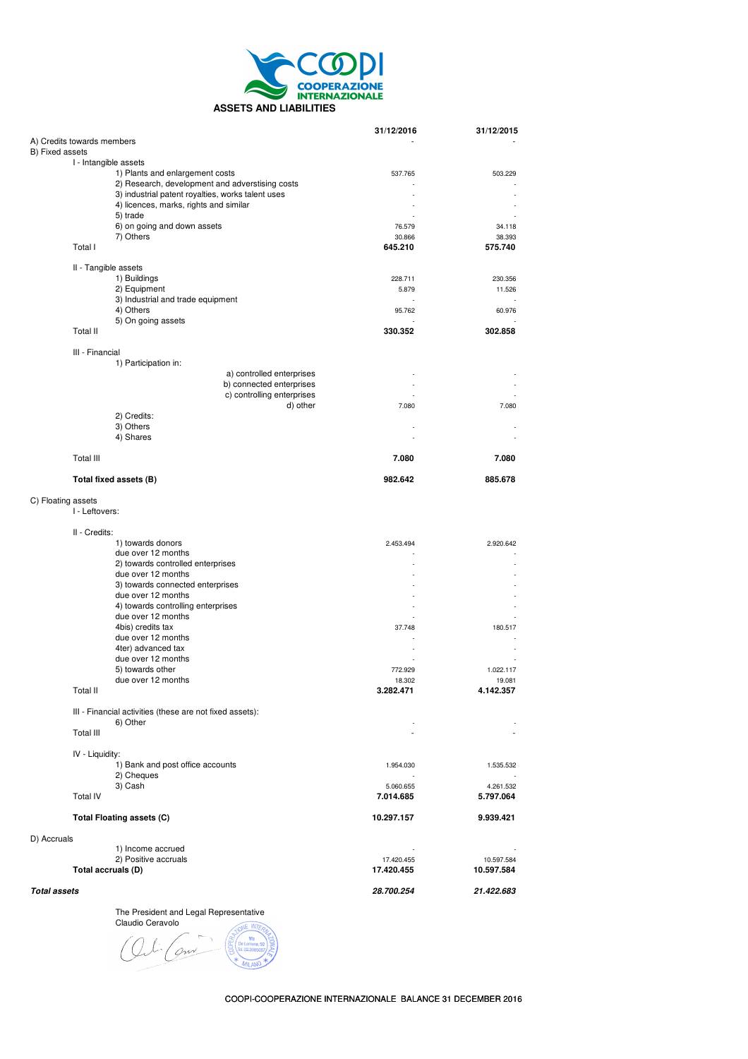

|                                      |                                                          | 31/12/2016 | 31/12/2015 |
|--------------------------------------|----------------------------------------------------------|------------|------------|
| A) Credits towards members           |                                                          |            |            |
| B) Fixed assets                      |                                                          |            |            |
|                                      | I - Intangible assets                                    |            |            |
|                                      | 1) Plants and enlargement costs                          | 537.765    | 503.229    |
|                                      | 2) Research, development and adverstising costs          |            |            |
|                                      | 3) industrial patent royalties, works talent uses        |            |            |
|                                      | 4) licences, marks, rights and similar                   |            |            |
|                                      | 5) trade                                                 |            |            |
|                                      | 6) on going and down assets                              | 76.579     | 34.118     |
|                                      | 7) Others                                                | 30.866     | 38.393     |
| Total I                              |                                                          | 645.210    | 575.740    |
|                                      |                                                          |            |            |
|                                      | II - Tangible assets                                     |            |            |
|                                      | 1) Buildings                                             | 228.711    | 230.356    |
|                                      | 2) Equipment                                             | 5.879      | 11.526     |
|                                      | 3) Industrial and trade equipment                        |            |            |
|                                      | 4) Others                                                | 95.762     | 60.976     |
|                                      | 5) On going assets                                       |            |            |
| Total II                             |                                                          | 330.352    | 302.858    |
|                                      |                                                          |            |            |
| III - Financial                      |                                                          |            |            |
|                                      | 1) Participation in:                                     |            |            |
|                                      | a) controlled enterprises                                |            |            |
|                                      | b) connected enterprises                                 |            |            |
|                                      | c) controlling enterprises                               |            |            |
|                                      | d) other                                                 | 7.080      | 7.080      |
|                                      | 2) Credits:                                              |            |            |
|                                      | 3) Others                                                |            |            |
|                                      | 4) Shares                                                |            |            |
|                                      |                                                          |            |            |
| Total III                            |                                                          | 7.080      | 7.080      |
|                                      |                                                          |            |            |
|                                      | Total fixed assets (B)                                   | 982.642    | 885.678    |
|                                      |                                                          |            |            |
| C) Floating assets<br>I - Leftovers: |                                                          |            |            |
| II - Credits:                        |                                                          |            |            |
|                                      | 1) towards donors                                        | 2.453.494  | 2.920.642  |
|                                      | due over 12 months                                       |            |            |
|                                      | 2) towards controlled enterprises                        |            |            |
|                                      | due over 12 months                                       |            |            |
|                                      | 3) towards connected enterprises                         |            |            |
|                                      | due over 12 months                                       |            |            |
|                                      | 4) towards controlling enterprises                       |            |            |
|                                      | due over 12 months                                       |            |            |
|                                      | 4bis) credits tax                                        | 37.748     | 180.517    |
|                                      | due over 12 months                                       |            |            |
|                                      | 4ter) advanced tax                                       |            |            |
|                                      | due over 12 months                                       |            |            |
|                                      | 5) towards other                                         | 772.929    | 1.022.117  |
|                                      | due over 12 months                                       | 18.302     | 19.081     |
| Total II                             |                                                          | 3.282.471  | 4.142.357  |
|                                      | III - Financial activities (these are not fixed assets): |            |            |
|                                      | 6) Other                                                 |            |            |
| Total III                            |                                                          |            |            |
|                                      |                                                          |            |            |
| IV - Liquidity:                      |                                                          |            |            |
|                                      | 1) Bank and post office accounts                         | 1.954.030  | 1.535.532  |
|                                      | 2) Cheques                                               |            |            |
|                                      | 3) Cash                                                  | 5.060.655  | 4.261.532  |
| <b>Total IV</b>                      |                                                          | 7.014.685  | 5.797.064  |
|                                      |                                                          |            |            |
|                                      | <b>Total Floating assets (C)</b>                         | 10.297.157 | 9.939.421  |
|                                      |                                                          |            |            |
| D) Accruals                          |                                                          |            |            |
|                                      | 1) Income accrued                                        |            |            |
|                                      | 2) Positive accruals                                     | 17.420.455 | 10.597.584 |
|                                      | Total accruals (D)                                       | 17.420.455 | 10.597.584 |
|                                      |                                                          |            |            |
| Total assets                         |                                                          | 28.700.254 | 21.422.683 |

The President and Legal Representative

Claudio Ceravolo  $\gamma$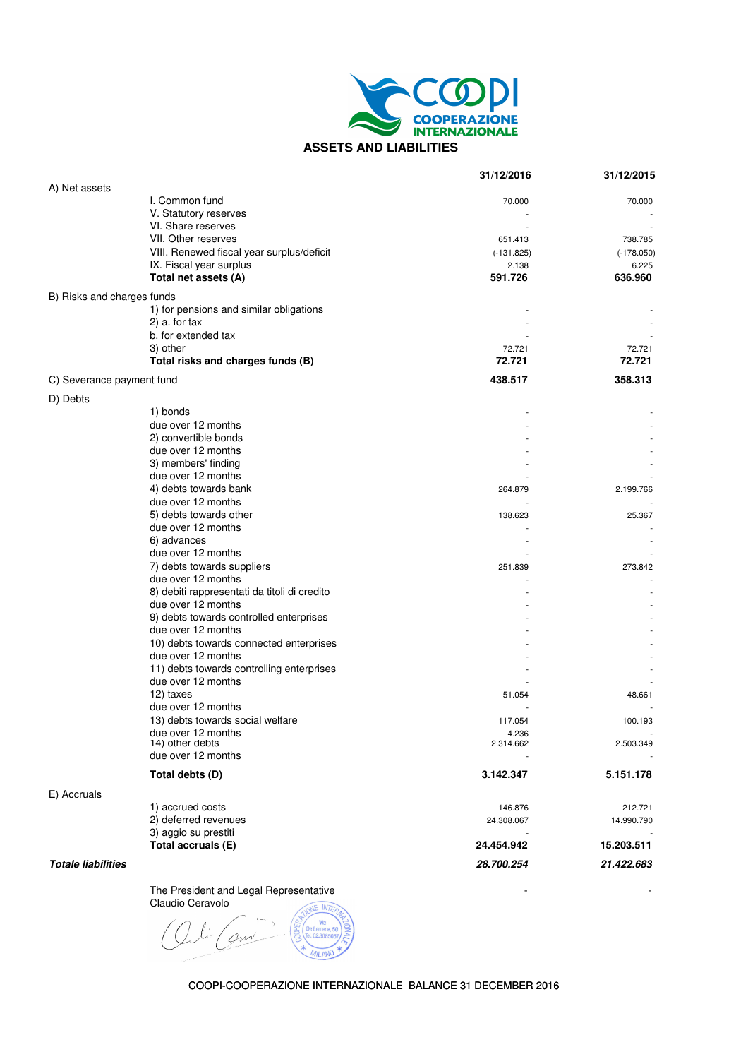

|                            |                                              | 31/12/2016         | 31/12/2015   |
|----------------------------|----------------------------------------------|--------------------|--------------|
| A) Net assets              |                                              |                    |              |
|                            | I. Common fund                               | 70.000             | 70.000       |
|                            | V. Statutory reserves                        |                    |              |
|                            | VI. Share reserves                           |                    |              |
|                            | VII. Other reserves                          | 651.413            | 738.785      |
|                            | VIII. Renewed fiscal year surplus/deficit    | $(-131.825)$       | $(-178.050)$ |
|                            | IX. Fiscal year surplus                      | 2.138              | 6.225        |
|                            | Total net assets (A)                         | 591.726            | 636.960      |
| B) Risks and charges funds |                                              |                    |              |
|                            | 1) for pensions and similar obligations      |                    |              |
|                            | $2)$ a. for tax                              |                    |              |
|                            | b. for extended tax                          |                    |              |
|                            | 3) other                                     | 72.721             | 72.721       |
|                            | Total risks and charges funds (B)            | 72.721             | 72.721       |
| C) Severance payment fund  |                                              | 438.517            | 358.313      |
|                            |                                              |                    |              |
| D) Debts                   | 1) bonds                                     |                    |              |
|                            | due over 12 months                           |                    |              |
|                            | 2) convertible bonds                         |                    |              |
|                            | due over 12 months                           |                    |              |
|                            | 3) members' finding                          |                    |              |
|                            | due over 12 months                           |                    |              |
|                            | 4) debts towards bank                        | 264.879            | 2.199.766    |
|                            | due over 12 months                           |                    |              |
|                            | 5) debts towards other                       | 138.623            | 25.367       |
|                            | due over 12 months                           |                    |              |
|                            | 6) advances                                  |                    |              |
|                            | due over 12 months                           |                    |              |
|                            | 7) debts towards suppliers                   | 251.839            | 273.842      |
|                            | due over 12 months                           |                    |              |
|                            | 8) debiti rappresentati da titoli di credito |                    |              |
|                            | due over 12 months                           |                    |              |
|                            | 9) debts towards controlled enterprises      |                    |              |
|                            | due over 12 months                           |                    |              |
|                            | 10) debts towards connected enterprises      |                    |              |
|                            | due over 12 months                           |                    |              |
|                            | 11) debts towards controlling enterprises    |                    |              |
|                            | due over 12 months                           |                    |              |
|                            | 12) taxes                                    | 51.054             | 48.661       |
|                            | due over 12 months                           |                    |              |
|                            | 13) debts towards social welfare             | 117.054            | 100.193      |
|                            |                                              |                    |              |
|                            | due over 12 months<br>14) other debts        | 4.236<br>2.314.662 | 2.503.349    |
|                            | due over 12 months                           |                    |              |
|                            | Total debts (D)                              | 3.142.347          | 5.151.178    |
|                            |                                              |                    |              |
| E) Accruals                | 1) accrued costs                             | 146.876            | 212.721      |
|                            | 2) deferred revenues                         | 24.308.067         | 14.990.790   |
|                            | 3) aggio su prestiti                         |                    |              |
|                            | Total accruals (E)                           | 24.454.942         | 15.203.511   |
|                            |                                              |                    |              |
| <b>Totale liabilities</b>  |                                              | 28.700.254         | 21.422.683   |

The President and Legal Representative - - Claudio Ceravolo

COOPI-COOPERAZIONE INTERNAZIONALE BALANCE 31 DECEMBER 2016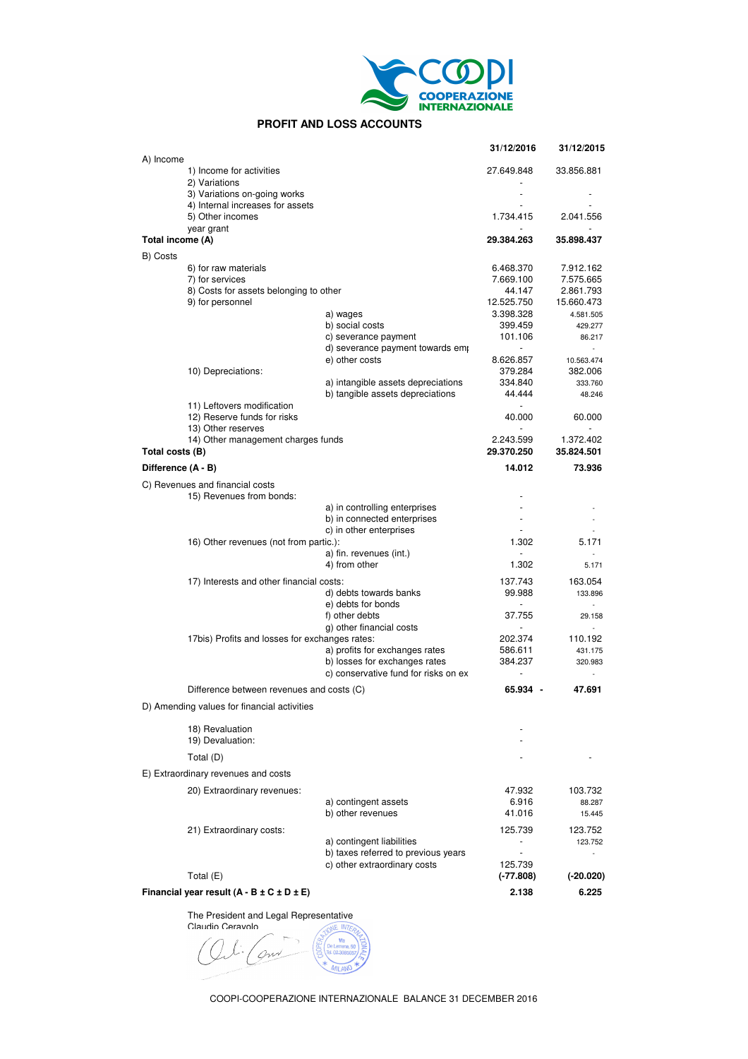

# **PROFIT AND LOSS ACCOUNTS**

|                    |                                                           |                                                                 | 31/12/2016                          | 31/12/2015              |
|--------------------|-----------------------------------------------------------|-----------------------------------------------------------------|-------------------------------------|-------------------------|
| A) Income          | 1) Income for activities                                  |                                                                 | 27.649.848                          | 33.856.881              |
|                    | 2) Variations                                             |                                                                 |                                     |                         |
|                    | 3) Variations on-going works                              |                                                                 | $\overline{\phantom{a}}$            |                         |
|                    | 4) Internal increases for assets<br>5) Other incomes      |                                                                 | 1.734.415                           | 2.041.556               |
| Total income (A)   | year grant                                                |                                                                 | 29.384.263                          | 35.898.437              |
| B) Costs           |                                                           |                                                                 |                                     |                         |
|                    | 6) for raw materials                                      |                                                                 | 6.468.370                           | 7.912.162               |
|                    | 7) for services                                           |                                                                 | 7.669.100                           | 7.575.665               |
|                    | 8) Costs for assets belonging to other                    |                                                                 | 44.147                              | 2.861.793               |
|                    | 9) for personnel                                          |                                                                 | 12.525.750                          | 15.660.473              |
|                    |                                                           | a) wages                                                        | 3.398.328                           | 4.581.505               |
|                    |                                                           | b) social costs<br>c) severance payment                         | 399.459<br>101.106                  | 429.277<br>86.217       |
|                    |                                                           | d) severance payment towards emp                                | $\blacksquare$                      | $\sim$                  |
|                    |                                                           | e) other costs                                                  | 8.626.857                           | 10.563.474              |
|                    | 10) Depreciations:                                        |                                                                 | 379.284                             | 382.006                 |
|                    |                                                           | a) intangible assets depreciations                              | 334.840                             | 333.760                 |
|                    |                                                           | b) tangible assets depreciations                                | 44.444                              | 48.246                  |
|                    | 11) Leftovers modification<br>12) Reserve funds for risks |                                                                 | $\overline{\phantom{a}}$<br>40.000  | 60.000                  |
|                    | 13) Other reserves                                        |                                                                 |                                     |                         |
| Total costs (B)    | 14) Other management charges funds                        |                                                                 | 2.243.599<br>29.370.250             | 1.372.402<br>35.824.501 |
| Difference (A - B) |                                                           |                                                                 | 14.012                              | 73.936                  |
|                    | C) Revenues and financial costs                           |                                                                 |                                     |                         |
|                    | 15) Revenues from bonds:                                  |                                                                 | ٠                                   |                         |
|                    |                                                           | a) in controlling enterprises                                   |                                     |                         |
|                    |                                                           | b) in connected enterprises                                     | $\overline{\phantom{a}}$            |                         |
|                    |                                                           | c) in other enterprises                                         | $\overline{a}$                      |                         |
|                    | 16) Other revenues (not from partic.):                    | a) fin. revenues (int.)                                         | 1.302                               | 5.171                   |
|                    |                                                           | 4) from other                                                   | 1.302                               | 5.171                   |
|                    |                                                           |                                                                 | 137.743                             | 163.054                 |
|                    | 17) Interests and other financial costs:                  | d) debts towards banks                                          | 99.988                              | 133.896                 |
|                    |                                                           | e) debts for bonds                                              | $\overline{\phantom{a}}$            | $\sim$                  |
|                    |                                                           | f) other debts                                                  | 37.755                              | 29.158                  |
|                    |                                                           | g) other financial costs                                        | $\overline{\phantom{a}}$            | $\sim$                  |
|                    | 17bis) Profits and losses for exchanges rates:            |                                                                 | 202.374                             | 110.192                 |
|                    |                                                           | a) profits for exchanges rates<br>b) losses for exchanges rates | 586.611                             | 431.175                 |
|                    |                                                           | c) conservative fund for risks on ex-                           | 384.237<br>$\overline{\phantom{a}}$ | 320.983<br>$\sim$       |
|                    |                                                           |                                                                 |                                     |                         |
|                    | Difference between revenues and costs (C)                 |                                                                 | 65.934 -                            | 47.691                  |
|                    | D) Amending values for financial activities               |                                                                 |                                     |                         |
|                    | 18) Revaluation                                           |                                                                 |                                     |                         |
|                    | 19) Devaluation:                                          |                                                                 |                                     |                         |
|                    | Total (D)                                                 |                                                                 |                                     |                         |
|                    | E) Extraordinary revenues and costs                       |                                                                 |                                     |                         |
|                    | 20) Extraordinary revenues:                               |                                                                 | 47.932                              | 103.732                 |
|                    |                                                           | a) contingent assets                                            | 6.916                               | 88.287                  |
|                    |                                                           | b) other revenues                                               | 41.016                              | 15.445                  |
|                    | 21) Extraordinary costs:                                  |                                                                 | 125.739                             | 123.752                 |
|                    |                                                           | a) contingent liabilities                                       |                                     | 123.752                 |
|                    |                                                           | b) taxes referred to previous years                             |                                     |                         |
|                    |                                                           | c) other extraordinary costs                                    | 125.739                             |                         |
|                    | Total $(E)$                                               |                                                                 | (-77.808)                           | (-20.020)               |
|                    | Financial year result $(A - B \pm C \pm D \pm E)$         |                                                                 | 2.138                               | 6.225                   |

The President and Legal Representative

Claudio Ceravolo gw **VIII AT**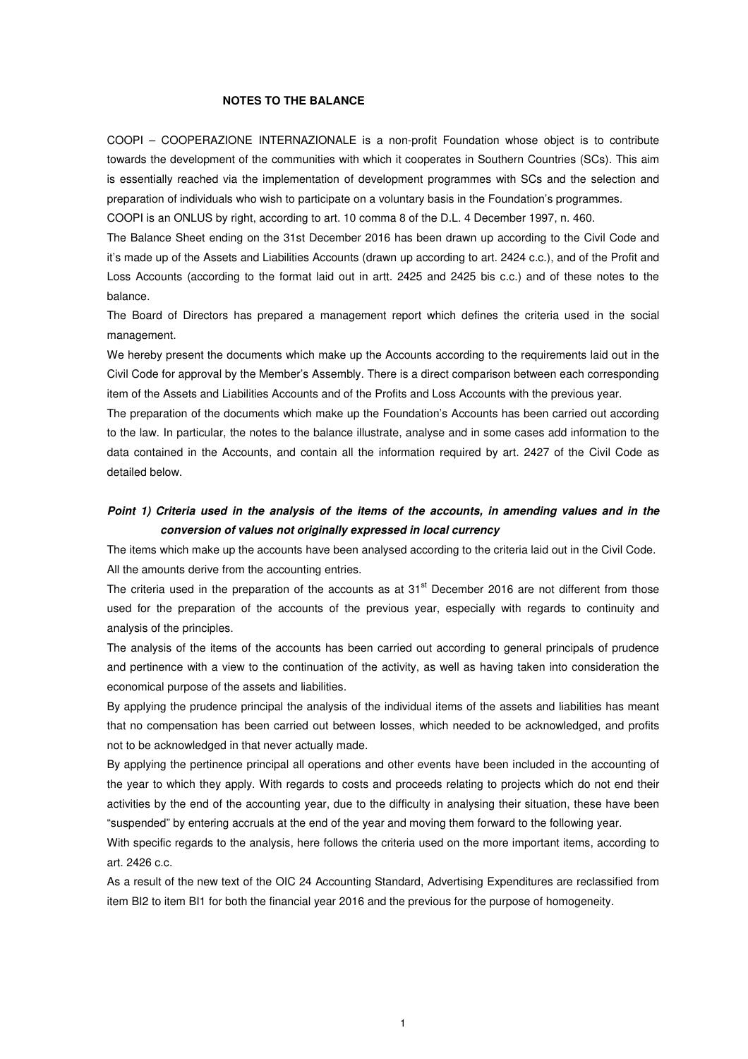#### **NOTES TO THE BALANCE**

COOPI – COOPERAZIONE INTERNAZIONALE is a non-profit Foundation whose object is to contribute towards the development of the communities with which it cooperates in Southern Countries (SCs). This aim is essentially reached via the implementation of development programmes with SCs and the selection and preparation of individuals who wish to participate on a voluntary basis in the Foundation's programmes.

COOPI is an ONLUS by right, according to art. 10 comma 8 of the D.L. 4 December 1997, n. 460.

The Balance Sheet ending on the 31st December 2016 has been drawn up according to the Civil Code and it's made up of the Assets and Liabilities Accounts (drawn up according to art. 2424 c.c.), and of the Profit and Loss Accounts (according to the format laid out in artt. 2425 and 2425 bis c.c.) and of these notes to the balance.

The Board of Directors has prepared a management report which defines the criteria used in the social management.

We hereby present the documents which make up the Accounts according to the requirements laid out in the Civil Code for approval by the Member's Assembly. There is a direct comparison between each corresponding item of the Assets and Liabilities Accounts and of the Profits and Loss Accounts with the previous year.

The preparation of the documents which make up the Foundation's Accounts has been carried out according to the law. In particular, the notes to the balance illustrate, analyse and in some cases add information to the data contained in the Accounts, and contain all the information required by art. 2427 of the Civil Code as detailed below.

# **Point 1) Criteria used in the analysis of the items of the accounts, in amending values and in the conversion of values not originally expressed in local currency**

The items which make up the accounts have been analysed according to the criteria laid out in the Civil Code. All the amounts derive from the accounting entries.

The criteria used in the preparation of the accounts as at  $31<sup>st</sup>$  December 2016 are not different from those used for the preparation of the accounts of the previous year, especially with regards to continuity and analysis of the principles.

The analysis of the items of the accounts has been carried out according to general principals of prudence and pertinence with a view to the continuation of the activity, as well as having taken into consideration the economical purpose of the assets and liabilities.

By applying the prudence principal the analysis of the individual items of the assets and liabilities has meant that no compensation has been carried out between losses, which needed to be acknowledged, and profits not to be acknowledged in that never actually made.

By applying the pertinence principal all operations and other events have been included in the accounting of the year to which they apply. With regards to costs and proceeds relating to projects which do not end their activities by the end of the accounting year, due to the difficulty in analysing their situation, these have been "suspended" by entering accruals at the end of the year and moving them forward to the following year.

With specific regards to the analysis, here follows the criteria used on the more important items, according to art. 2426 c.c.

As a result of the new text of the OIC 24 Accounting Standard, Advertising Expenditures are reclassified from item BI2 to item BI1 for both the financial year 2016 and the previous for the purpose of homogeneity.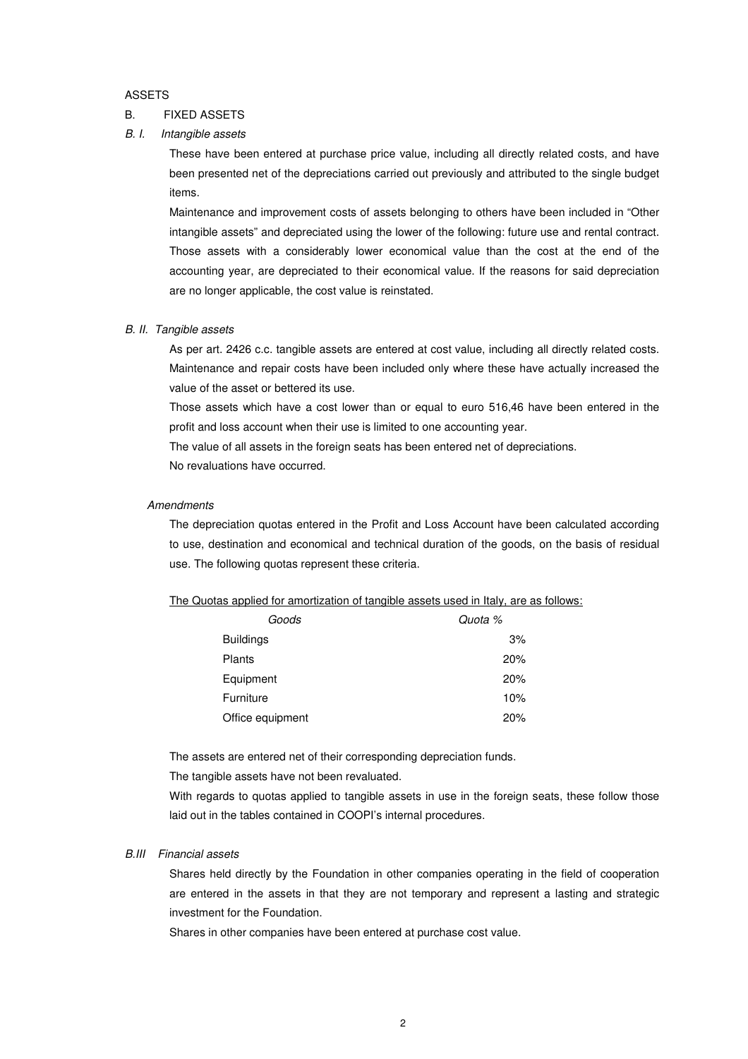#### ASSETS

### B. FIXED ASSETS

# B. I. Intangible assets

These have been entered at purchase price value, including all directly related costs, and have been presented net of the depreciations carried out previously and attributed to the single budget items.

Maintenance and improvement costs of assets belonging to others have been included in "Other intangible assets" and depreciated using the lower of the following: future use and rental contract. Those assets with a considerably lower economical value than the cost at the end of the accounting year, are depreciated to their economical value. If the reasons for said depreciation are no longer applicable, the cost value is reinstated.

## B. II. Tangible assets

As per art. 2426 c.c. tangible assets are entered at cost value, including all directly related costs. Maintenance and repair costs have been included only where these have actually increased the value of the asset or bettered its use.

Those assets which have a cost lower than or equal to euro 516,46 have been entered in the profit and loss account when their use is limited to one accounting year.

The value of all assets in the foreign seats has been entered net of depreciations.

No revaluations have occurred.

### **Amendments**

The depreciation quotas entered in the Profit and Loss Account have been calculated according to use, destination and economical and technical duration of the goods, on the basis of residual use. The following quotas represent these criteria.

|  |  |  |  |  |  |  |  | The Quotas applied for amortization of tangible assets used in Italy, are as follows: |
|--|--|--|--|--|--|--|--|---------------------------------------------------------------------------------------|
|--|--|--|--|--|--|--|--|---------------------------------------------------------------------------------------|

| Goods            | Quota % |
|------------------|---------|
| <b>Buildings</b> | 3%      |
| Plants           | 20%     |
| Equipment        | 20%     |
| Furniture        | 10%     |
| Office equipment | 20%     |

The assets are entered net of their corresponding depreciation funds.

The tangible assets have not been revaluated.

With regards to quotas applied to tangible assets in use in the foreign seats, these follow those laid out in the tables contained in COOPI's internal procedures.

## B.III Financial assets

Shares held directly by the Foundation in other companies operating in the field of cooperation are entered in the assets in that they are not temporary and represent a lasting and strategic investment for the Foundation.

Shares in other companies have been entered at purchase cost value.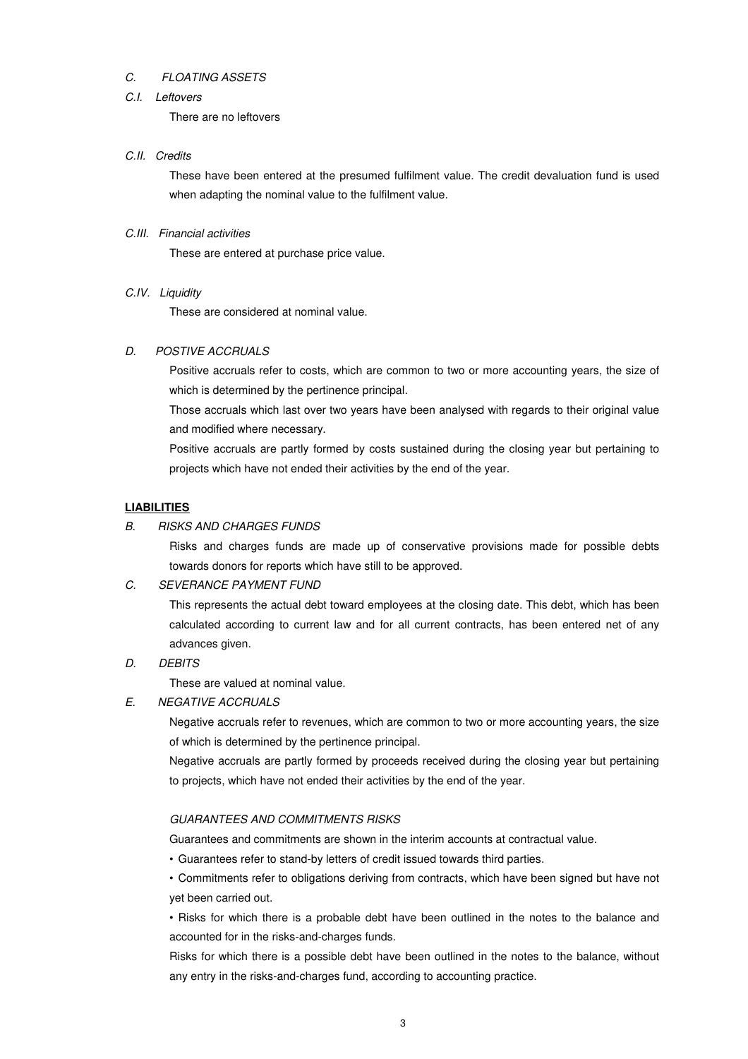## C. FLOATING ASSETS

### C.I. Leftovers

There are no leftovers

#### C.II. Credits

These have been entered at the presumed fulfilment value. The credit devaluation fund is used when adapting the nominal value to the fulfilment value.

# C.III. Financial activities

These are entered at purchase price value.

#### C.IV. Liquidity

These are considered at nominal value.

# D. POSTIVE ACCRUALS

Positive accruals refer to costs, which are common to two or more accounting years, the size of which is determined by the pertinence principal.

Those accruals which last over two years have been analysed with regards to their original value and modified where necessary.

Positive accruals are partly formed by costs sustained during the closing year but pertaining to projects which have not ended their activities by the end of the year.

#### **LIABILITIES**

#### B. RISKS AND CHARGES FUNDS

Risks and charges funds are made up of conservative provisions made for possible debts towards donors for reports which have still to be approved.

### C. SEVERANCE PAYMENT FUND

This represents the actual debt toward employees at the closing date. This debt, which has been calculated according to current law and for all current contracts, has been entered net of any advances given.

#### D. DEBITS

These are valued at nominal value.

E. NEGATIVE ACCRUALS

Negative accruals refer to revenues, which are common to two or more accounting years, the size of which is determined by the pertinence principal.

Negative accruals are partly formed by proceeds received during the closing year but pertaining to projects, which have not ended their activities by the end of the year.

# GUARANTEES AND COMMITMENTS RISKS

Guarantees and commitments are shown in the interim accounts at contractual value.

• Guarantees refer to stand-by letters of credit issued towards third parties.

• Commitments refer to obligations deriving from contracts, which have been signed but have not yet been carried out.

• Risks for which there is a probable debt have been outlined in the notes to the balance and accounted for in the risks-and-charges funds.

Risks for which there is a possible debt have been outlined in the notes to the balance, without any entry in the risks-and-charges fund, according to accounting practice.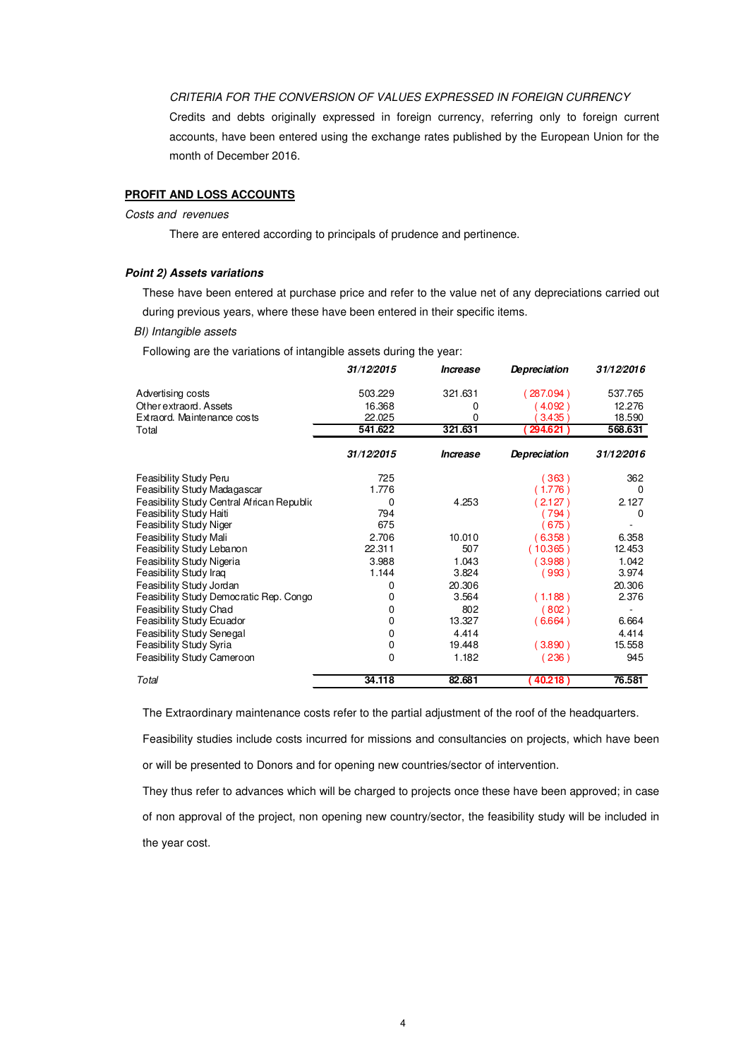### CRITERIA FOR THE CONVERSION OF VALUES EXPRESSED IN FOREIGN CURRENCY

Credits and debts originally expressed in foreign currency, referring only to foreign current accounts, have been entered using the exchange rates published by the European Union for the month of December 2016.

# **PROFIT AND LOSS ACCOUNTS**

### Costs and revenues

There are entered according to principals of prudence and pertinence.

## **Point 2) Assets variations**

These have been entered at purchase price and refer to the value net of any depreciations carried out during previous years, where these have been entered in their specific items.

#### BI) Intangible assets

Following are the variations of intangible assets during the year:

|                                            | 31/12/2015 | Increase | Depreciation | 31/12/2016 |
|--------------------------------------------|------------|----------|--------------|------------|
| Advertising costs                          | 503.229    | 321.631  | 287.094)     | 537.765    |
| Other extraord, Assets                     | 16.368     | 0        | 4.092)       | 12.276     |
| Extraord. Maintenance costs                | 22.025     | 0        | 3.435        | 18.590     |
| Total                                      | 541.622    | 321.631  | (294.621)    | 568.631    |
|                                            | 31/12/2015 | Increase | Depreciation | 31/12/2016 |
| Feasibility Study Peru                     | 725        |          | (363)        | 362        |
| Feasibility Study Madagascar               | 1.776      |          | (1.776       | 0          |
| Feasibility Study Central African Republic | 0          | 4.253    | $2.127$ )    | 2.127      |
| Feasibility Study Haiti                    | 794        |          | 794          | 0          |
| <b>Feasibility Study Niger</b>             | 675        |          | (675)        |            |
| Feasibility Study Mali                     | 2.706      | 10.010   | (6.358)      | 6.358      |
| Feasibility Study Lebanon                  | 22.311     | 507      | (10.365)     | 12.453     |
| Feasibility Study Nigeria                  | 3.988      | 1.043    | (3.988)      | 1.042      |
| Feasibility Study Iraq                     | 1.144      | 3.824    | (993)        | 3.974      |
| Feasibility Study Jordan                   | 0          | 20.306   |              | 20.306     |
| Feasibility Study Democratic Rep. Congo    | 0          | 3.564    | (1.188)      | 2.376      |
| Feasibility Study Chad                     | 0          | 802      | (802)        |            |
| Feasibility Study Ecuador                  | 0          | 13.327   | (6.664)      | 6.664      |
| Feasibility Study Senegal                  | 0          | 4.414    |              | 4.414      |
| Feasibility Study Syria                    | 0          | 19.448   | (3.890)      | 15.558     |
| Feasibility Study Cameroon                 | 0          | 1.182    | (236)        | 945        |
| Total                                      | 34.118     | 82.681   | 40.218       | 76.581     |

The Extraordinary maintenance costs refer to the partial adjustment of the roof of the headquarters.

Feasibility studies include costs incurred for missions and consultancies on projects, which have been or will be presented to Donors and for opening new countries/sector of intervention.

They thus refer to advances which will be charged to projects once these have been approved; in case of non approval of the project, non opening new country/sector, the feasibility study will be included in the year cost.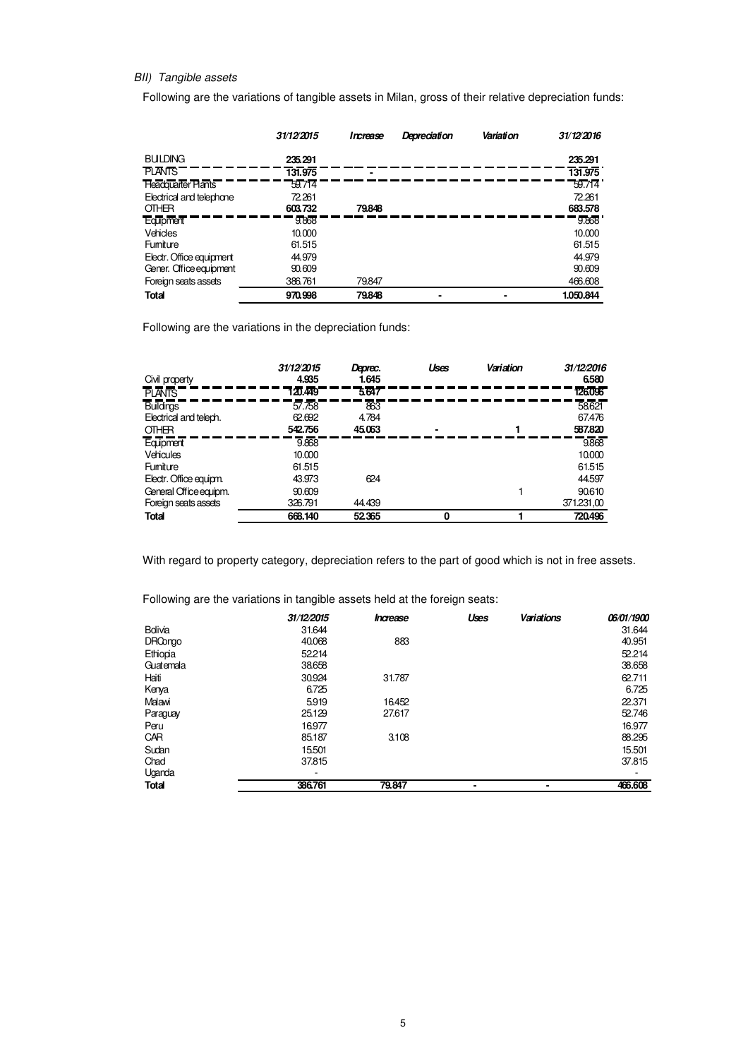# BII) Tangible assets

Following are the variations of tangible assets in Milan, gross of their relative depreciation funds:

|                           | 31/12/2015 | Increase | Depreciation | Variation | 31/12/2016 |
|---------------------------|------------|----------|--------------|-----------|------------|
| <b>BUILDING</b>           | 235.291    |          |              |           | 235.291    |
| <b>PLANTS</b>             | 131.975    |          |              |           | 131.975    |
| <b>Headquarter Plants</b> | 59.714     |          |              |           | 59.714     |
| Electrical and telephone  | 72.261     |          |              |           | 72.261     |
| OTHER                     | 603.732    | 79848    |              |           | 683.578    |
| <b>Equipment</b>          | 9.868      |          |              |           | 9.868      |
| Vehicles                  | 10,000     |          |              |           | 10.000     |
| Fumiture                  | 61.515     |          |              |           | 61.515     |
| Electr. Office equipment  | 44.979     |          |              |           | 44.979     |
| Gener. Office equipment   | 90.609     |          |              |           | 90.609     |
| Foreign seats assets      | 386,761    | 79.847   |              |           | 466.608    |
| <b>Total</b>              | 970.998    | 79848    |              |           | 1.050.844  |

Following are the variations in the depreciation funds:

| Civil property                                      | 31/12/2015<br>4.935         | Deprec.<br>1.645                    | Uses | Variation | 31/12/2016<br>6580         |
|-----------------------------------------------------|-----------------------------|-------------------------------------|------|-----------|----------------------------|
| <b>PLANTS</b>                                       | 120.449                     | 5647                                |      |           | 126096                     |
| <b>Bulldings</b><br>Electrical and teleph.<br>OTHER | 57.758<br>62.692<br>542.756 | $\overline{863}$<br>4.784<br>45.063 |      |           | 58621<br>67.476<br>587.820 |
| Equpment<br><b>Vehicules</b>                        | 9.868<br>10.000             |                                     |      |           | 9868<br>10.000             |
| Fumiture<br>Electr. Office equipm.                  | 61.515<br>43.973            | 624                                 |      |           | 61.515<br>44.597           |
| General Office equipm.<br>Foreign seats assets      | 90.609<br>326.791           | 44.439                              |      |           | 90.610<br>371.231,00       |
| Total                                               | 668.140                     | 52365                               |      |           | 720496                     |

With regard to property category, depreciation refers to the part of good which is not in free assets.

Following are the variations in tangible assets held at the foreign seats:

|                | 31/12/2015 | Increase | Uses | Variations     | 06/01/1900 |
|----------------|------------|----------|------|----------------|------------|
| Bolivia        | 31.644     |          |      |                | 31.644     |
| <b>DRCongo</b> | 40.068     | 883      |      |                | 40.951     |
| Ethiopia       | 52214      |          |      |                | 52.214     |
| Guatemala      | 38658      |          |      |                | 38.658     |
| Haiti          | 30.924     | 31.787   |      |                | 62.711     |
| Kenya          | 6.725      |          |      |                | 6.725      |
| Malawi         | 5919       | 16.452   |      |                | 22.371     |
| Paraguay       | 25.129     | 27.617   |      |                | 52.746     |
| Peru           | 16.977     |          |      |                | 16.977     |
| CAR            | 85.187     | 3.108    |      |                | 88.295     |
| Sudan          | 15.501     |          |      |                | 15.501     |
| Chad           | 37.815     |          |      |                | 37.815     |
| Uganda         | ۰          |          |      |                |            |
| Total          | 386.761    | 79.847   |      | $\blacksquare$ | 466,608    |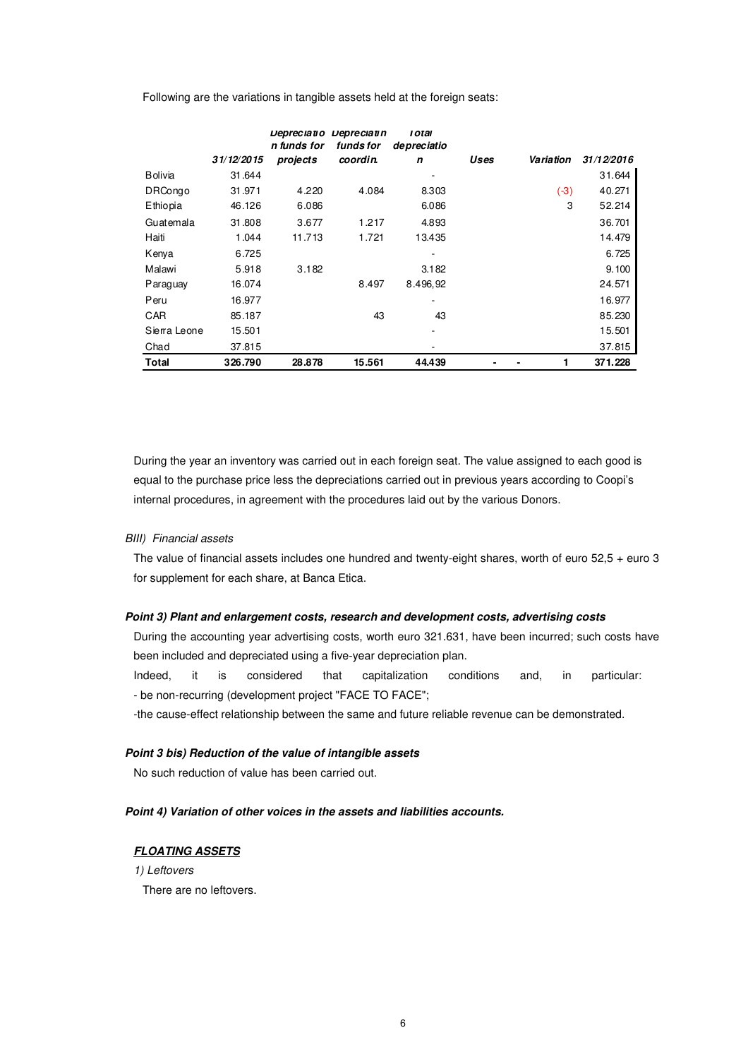Following are the variations in tangible assets held at the foreign seats:

|                |            | Depreciatio<br>n funds for | Depreciatin<br>funds for | <i><b>LOTAL</b></i><br>de preciatio |      |           |            |
|----------------|------------|----------------------------|--------------------------|-------------------------------------|------|-----------|------------|
|                | 31/12/2015 | projects                   | coordin.                 | n                                   | Uses | Variation | 31/12/2016 |
| <b>Bolivia</b> | 31.644     |                            |                          |                                     |      |           | 31.644     |
| <b>DRCongo</b> | 31.971     | 4.220                      | 4.084                    | 8.303                               |      | $(-3)$    | 40.271     |
| Ethiopia       | 46.126     | 6.086                      |                          | 6.086                               |      | 3         | 52.214     |
| Guatemala      | 31.808     | 3.677                      | 1.217                    | 4.893                               |      |           | 36.701     |
| Haiti          | 1.044      | 11.713                     | 1.721                    | 13.435                              |      |           | 14.479     |
| Kenya          | 6.725      |                            |                          |                                     |      |           | 6.725      |
| Malawi         | 5.918      | 3.182                      |                          | 3.182                               |      |           | 9.100      |
| Paraguay       | 16.074     |                            | 8.497                    | 8.496,92                            |      |           | 24.571     |
| Peru           | 16.977     |                            |                          |                                     |      |           | 16.977     |
| CAR            | 85.187     |                            | 43                       | 43                                  |      |           | 85.230     |
| Sierra Leone   | 15.501     |                            |                          |                                     |      |           | 15.501     |
| Chad           | 37.815     |                            |                          |                                     |      |           | 37.815     |
| <b>Total</b>   | 326.790    | 28.878                     | 15.561                   | 44.439                              |      |           | 371.228    |

During the year an inventory was carried out in each foreign seat. The value assigned to each good is equal to the purchase price less the depreciations carried out in previous years according to Coopi's internal procedures, in agreement with the procedures laid out by the various Donors.

#### BIII) Financial assets

The value of financial assets includes one hundred and twenty-eight shares, worth of euro 52,5 + euro 3 for supplement for each share, at Banca Etica.

### **Point 3) Plant and enlargement costs, research and development costs, advertising costs**

During the accounting year advertising costs, worth euro 321.631, have been incurred; such costs have been included and depreciated using a five-year depreciation plan.

Indeed, it is considered that capitalization conditions and, in particular: - be non-recurring (development project "FACE TO FACE";

-the cause-effect relationship between the same and future reliable revenue can be demonstrated.

# **Point 3 bis) Reduction of the value of intangible assets**

No such reduction of value has been carried out.

#### **Point 4) Variation of other voices in the assets and liabilities accounts.**

#### **FLOATING ASSETS**

1) Leftovers

There are no leftovers.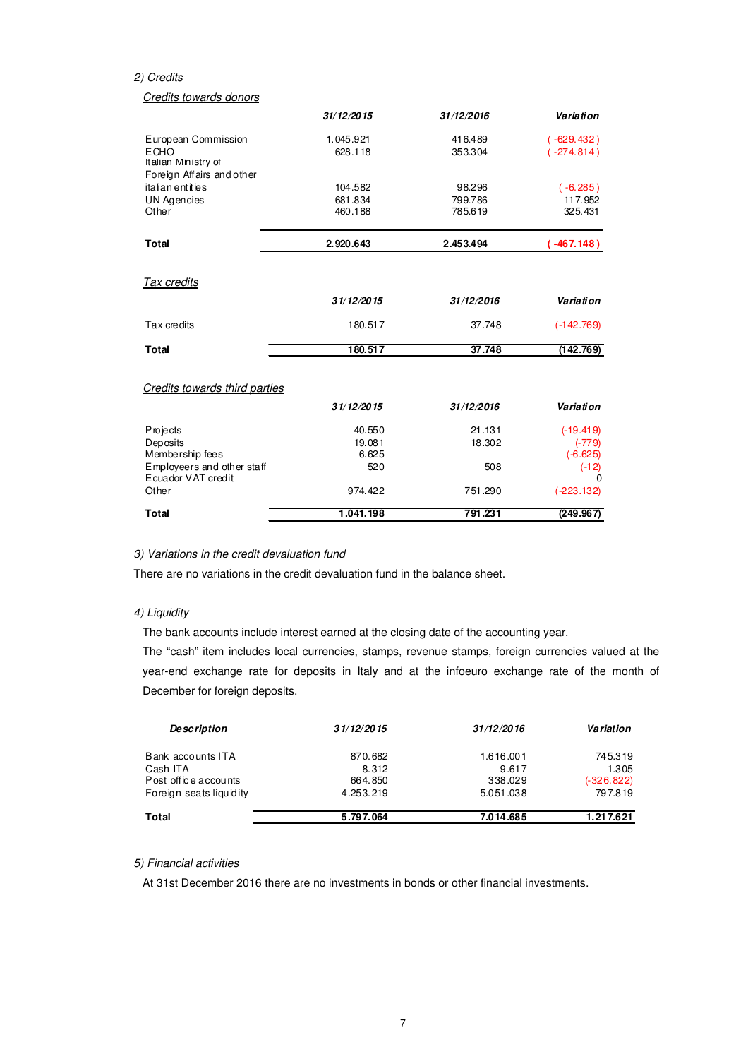#### 2) Credits

## Credits towards donors

|                                                                 | 31/12/2015 | 31/12/2016 | Variation    |
|-----------------------------------------------------------------|------------|------------|--------------|
| European Commission                                             | 1.045.921  | 416.489    | $(-629.432)$ |
| <b>ECHO</b><br>Italian Ministry of<br>Foreign Affairs and other | 628.118    | 353.304    | $(-274.814)$ |
| italian entities                                                | 104.582    | 98.296     | $(-6.285)$   |
| UN Agencies                                                     | 681.834    | 799.786    | 117.952      |
| Other                                                           | 460.188    | 785.619    | 325.431      |
| <b>Total</b>                                                    | 2.920.643  | 2.453.494  | (.467.148)   |
| Tax credits                                                     |            |            |              |
|                                                                 | 31/12/2015 | 31/12/2016 | Variation    |
| Tax credits                                                     | 180.517    | 37.748     | $(-142.769)$ |
| <b>Total</b>                                                    | 180.517    | 37.748     | (142.769)    |
| Credits towards third parties                                   |            |            |              |
|                                                                 | 31/12/2015 | 31/12/2016 | Variation    |
| Projects                                                        | 40.550     | 21.131     | $(-19.419)$  |
| Deposits                                                        | 19.081     | 18.302     | $(-779)$     |
| Membership fees                                                 | 6.625      |            | $(-6.625)$   |
| Employeers and other staff<br>Ecuador VAT credit                | 520        | 508        | $(-12)$      |
| Other                                                           | 974.422    | 751.290    | $(-223.132)$ |
| <b>Total</b>                                                    | 1.041.198  | 791.231    | (249.967)    |

#### 3) Variations in the credit devaluation fund

There are no variations in the credit devaluation fund in the balance sheet.

# 4) Liquidity

The bank accounts include interest earned at the closing date of the accounting year.

The "cash" item includes local currencies, stamps, revenue stamps, foreign currencies valued at the year-end exchange rate for deposits in Italy and at the infoeuro exchange rate of the month of December for foreign deposits.

| <b>Description</b>      | 31/12/2015 | 31/12/2016 | Variation    |
|-------------------------|------------|------------|--------------|
| Bank accounts ITA       | 870.682    | 1.616.001  | 745.319      |
| Cash ITA                | 8.312      | 9.617      | 1.305        |
| Post office accounts    | 664.850    | 338,029    | $(-326.822)$ |
| Foreign seats liquidity | 4.253.219  | 5.051.038  | 797.819      |
| Total                   | 5.797.064  | 7.014.685  | 1.217.621    |

### 5) Financial activities

At 31st December 2016 there are no investments in bonds or other financial investments.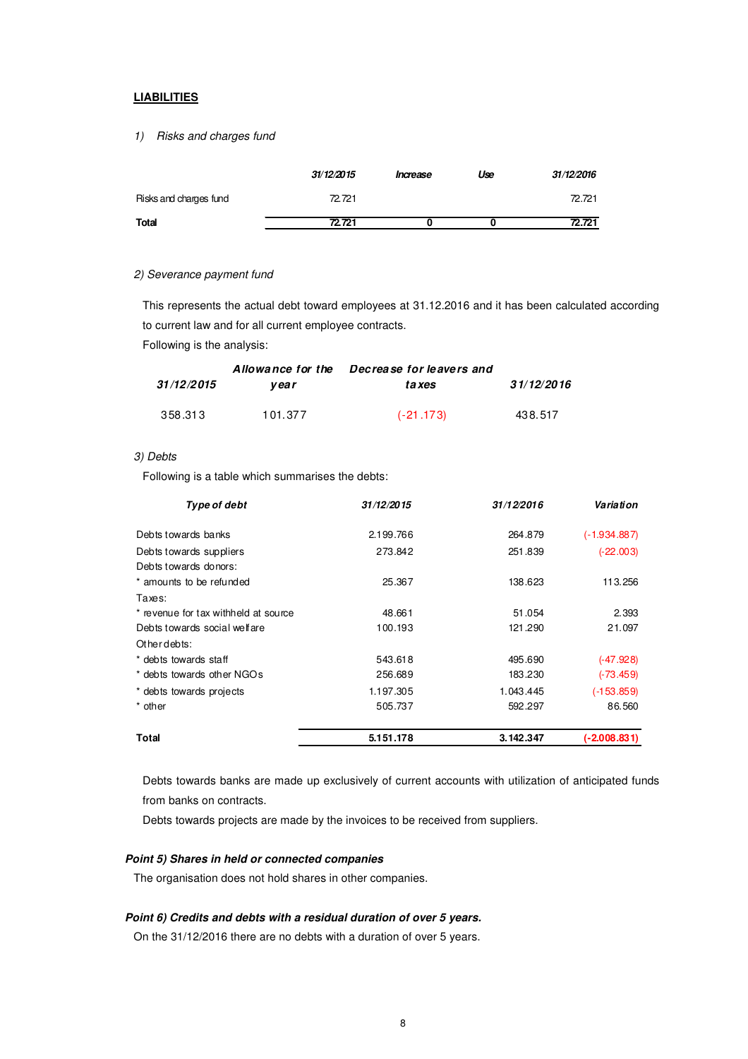## **LIABILITIES**

# 1) Risks and charges fund

|                        | 31/12/2015 | Increase | Use | 31/12/2016 |
|------------------------|------------|----------|-----|------------|
| Risks and charges fund | 72.721     |          |     | 72.721     |
| <b>Total</b>           | 72.721     |          |     | 72.721     |

#### 2) Severance payment fund

This represents the actual debt toward employees at 31.12.2016 and it has been calculated according to current law and for all current employee contracts.

Following is the analysis:

|            | Allowance for the | Decrease for leavers and |            |
|------------|-------------------|--------------------------|------------|
| 31/12/2015 | vear              | ta xes                   | 31/12/2016 |
| 358.313    | 101.377           | $(-21.173)$              | 438.517    |

#### 3) Debts

Following is a table which summarises the debts:

| Type of debt                         | 31/12/2015 | 31/12/2016 | Variation      |
|--------------------------------------|------------|------------|----------------|
| Debts towards banks                  | 2.199.766  | 264.879    | $(-1.934.887)$ |
| Debts towards suppliers              | 273.842    | 251.839    | $(-22.003)$    |
| Debts towards donors:                |            |            |                |
| * amounts to be refunded             | 25.367     | 138.623    | 113.256        |
| Taxes:                               |            |            |                |
| * revenue for tax withheld at source | 48.661     | 51.054     | 2.393          |
| Debts towards social welfare         | 100.193    | 121.290    | 21.097         |
| Otherdebts:                          |            |            |                |
| * debts towards staff                | 543.618    | 495.690    | $(-47.928)$    |
| * debts towards other NGOs           | 256.689    | 183.230    | $(-73.459)$    |
| * debts towards projects             | 1.197.305  | 1.043.445  | $(-153.859)$   |
| * other                              | 505.737    | 592.297    | 86.560         |
| <b>Total</b>                         | 5.151.178  | 3.142.347  | $(-2.008.831)$ |

Debts towards banks are made up exclusively of current accounts with utilization of anticipated funds from banks on contracts.

Debts towards projects are made by the invoices to be received from suppliers.

# **Point 5) Shares in held or connected companies**

The organisation does not hold shares in other companies.

### **Point 6) Credits and debts with a residual duration of over 5 years.**

On the 31/12/2016 there are no debts with a duration of over 5 years.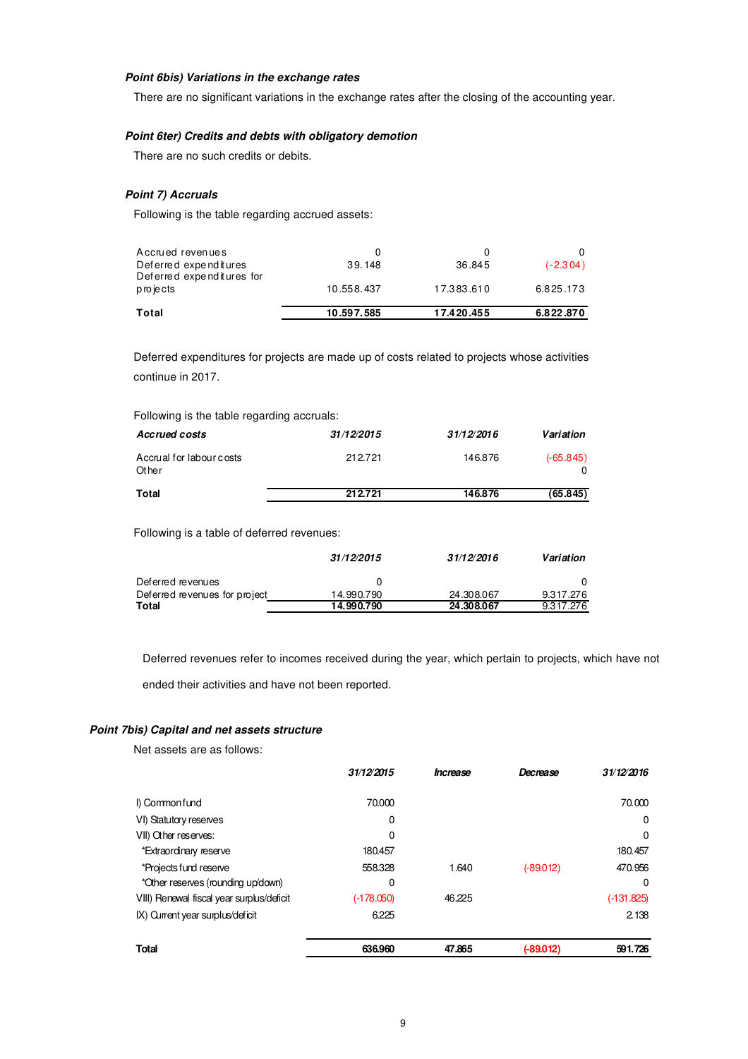### **Point 6bis) Variations in the exchange rates**

There are no significant variations in the exchange rates after the closing of the accounting year.

# **Point 6ter) Credits and debts with obligatory demotion**

There are no such credits or debits.

### **Point 7) Accruals**

Following is the table regarding accrued assets:

| Total                                              | 10.597.585 | 17.420.455 | 6.822.870  |
|----------------------------------------------------|------------|------------|------------|
| projects                                           | 10.558.437 | 17.383.610 | 6.825.173  |
| Deferred expenditures<br>Deferred expenditures for | 39.148     | 36.845     | $(-2.304)$ |
| Accrued revenues                                   | O          |            |            |

Deferred expenditures for projects are made up of costs related to projects whose activities continue in 2017.

#### Following is the table regarding accruals:

| Accrued costs                     | 31/12/2015 | 31/12/2016 | Variation   |
|-----------------------------------|------------|------------|-------------|
| Accrual for labour costs<br>Other | 212.721    | 146.876    | $(-65.845)$ |
| <b>Total</b>                      | 212.721    | 146.876    | (65.845)    |

Following is a table of deferred revenues:

|                               | 31/12/2015 | 31/12/2016 | Variation |
|-------------------------------|------------|------------|-----------|
| Deferred revenues             | 0          |            |           |
| Deferred revenues for project | 14.990.790 | 24.308.067 | 9.317.276 |
| Total                         | 14.990.790 | 24.308.067 | 9.317.276 |

Deferred revenues refer to incomes received during the year, which pertain to projects, which have not

ended their activities and have not been reported.

#### **Point 7bis) Capital and net assets structure**

Net assets are as follows:

|                                           | 31/12/2015   | Increase | Decrease    | 31/12/2016   |
|-------------------------------------------|--------------|----------|-------------|--------------|
| I) Commonfund                             | 70.000       |          |             | 70.000       |
| VI) Statutory reserves                    | 0            |          |             | 0            |
| VII) Other reserves:                      | 0            |          |             | $\Omega$     |
| *Extraordinary reserve                    | 180.457      |          |             | 180.457      |
| *Projects fund reserve                    | 558.328      | 1.640    | $(-89.012)$ | 470.956      |
| *Other reserves (rounding up/down)        | 0            |          |             | $\Omega$     |
| VIII) Renewal fiscal year surplus/deficit | $(-178.050)$ | 46.225   |             | $(-131.825)$ |
| IX) Current year surplus/deficit          | 6.225        |          |             | 2.138        |
|                                           |              |          |             |              |
| <b>Total</b>                              | 636.960      | 47.865   | $(-89.012)$ | 591.726      |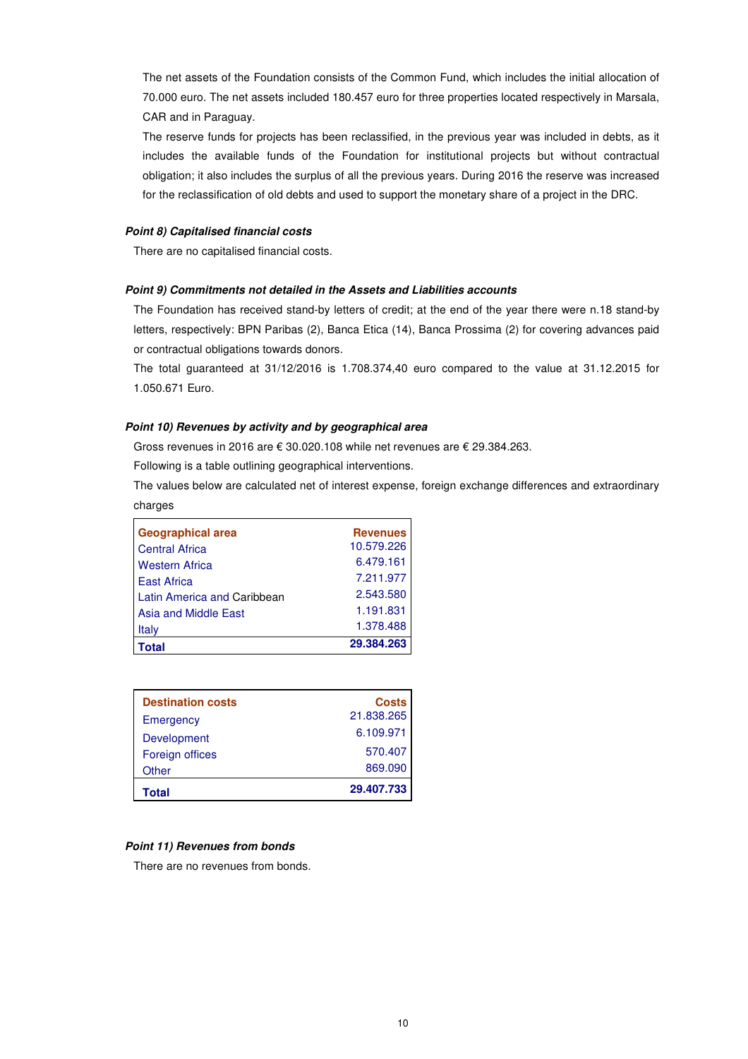The net assets of the Foundation consists of the Common Fund, which includes the initial allocation of 70.000 euro. The net assets included 180.457 euro for three properties located respectively in Marsala, CAR and in Paraguay.

The reserve funds for projects has been reclassified, in the previous year was included in debts, as it includes the available funds of the Foundation for institutional projects but without contractual obligation; it also includes the surplus of all the previous years. During 2016 the reserve was increased for the reclassification of old debts and used to support the monetary share of a project in the DRC.

#### **Point 8) Capitalised financial costs**

There are no capitalised financial costs.

#### **Point 9) Commitments not detailed in the Assets and Liabilities accounts**

The Foundation has received stand-by letters of credit; at the end of the year there were n.18 stand-by letters, respectively: BPN Paribas (2), Banca Etica (14), Banca Prossima (2) for covering advances paid or contractual obligations towards donors.

The total guaranteed at 31/12/2016 is 1.708.374,40 euro compared to the value at 31.12.2015 for 1.050.671 Euro.

#### **Point 10) Revenues by activity and by geographical area**

Gross revenues in 2016 are € 30.020.108 while net revenues are € 29.384.263.

Following is a table outlining geographical interventions.

The values below are calculated net of interest expense, foreign exchange differences and extraordinary charges

| <b>Geographical area</b>    | <b>Revenues</b> |
|-----------------------------|-----------------|
| <b>Central Africa</b>       | 10.579.226      |
| <b>Western Africa</b>       | 6.479.161       |
| <b>East Africa</b>          | 7.211.977       |
| Latin America and Caribbean | 2.543.580       |
| Asia and Middle East        | 1.191.831       |
| Italy                       | 1.378.488       |
| 'otal                       | 29.384.263      |

| <b>Destination costs</b> | <b>Costs</b> |
|--------------------------|--------------|
| Emergency                | 21.838.265   |
| Development              | 6.109.971    |
| Foreign offices          | 570.407      |
| Other                    | 869.090      |
| Total                    | 29.407.733   |

# **Point 11) Revenues from bonds**

There are no revenues from bonds.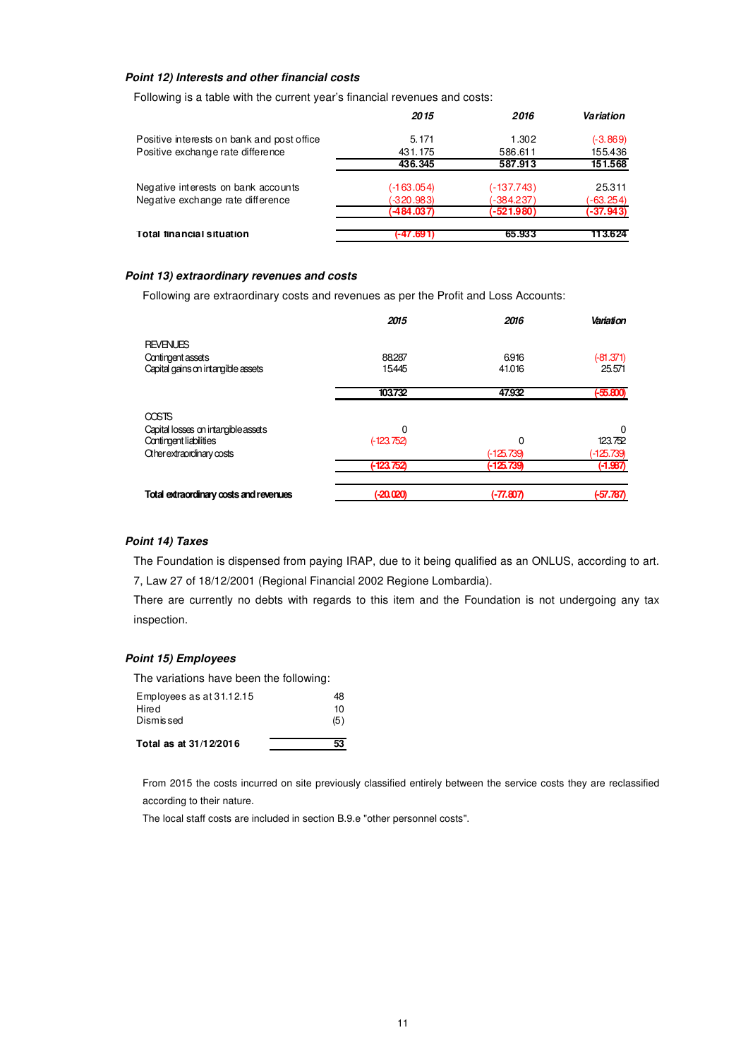### **Point 12) Interests and other financial costs**

Following is a table with the current year's financial revenues and costs:

|                                            | 2015         | 2016         | Variation   |
|--------------------------------------------|--------------|--------------|-------------|
| Positive interests on bank and post office | 5.171        | 1.302        | $(-3.869)$  |
| Positive exchange rate difference          | 431.175      | 586.611      | 155.436     |
|                                            | 436.345      | 587.913      | 151.568     |
| Negative interests on bank accounts        | (-1 63.054)  | $(-137.743)$ | 25.311      |
| Negative exchange rate difference          | $(-320.983)$ | $-384.237$   | $(-63.254)$ |
|                                            | (484.037)    | (-521.980)   | (-37.943)   |
| <b>Total financial situation</b>           | -47.691      | 65.933       | 113.624     |

## **Point 13) extraordinary revenues and costs**

Following are extraordinary costs and revenues as per the Profit and Loss Accounts:

|                                        | 2015         | 2016         | Variation   |
|----------------------------------------|--------------|--------------|-------------|
| <b>REVENUES</b>                        |              |              |             |
| Contingent assets                      | 88.287       | 6916         | $(-81.371)$ |
| Capital gains on intangible assets     | 15445        | 41.016       | 25.571      |
|                                        | 103732       | 47.932       | $(+55.800)$ |
| <b>COSTS</b>                           |              |              |             |
| Capital losses on intangible assets    | 0            |              | 0           |
| Contingent liabilities                 | $(-123.752)$ | 0            | 123.752     |
| Other extraordinary costs              |              | $(-125.739)$ | (-125.739)  |
|                                        | $(-123752)$  | $(-125.739)$ | $(-1.987)$  |
| Total extraordinary costs and revenues | $( -20.020)$ | (-77.807)    | $(-57.787)$ |

## **Point 14) Taxes**

The Foundation is dispensed from paying IRAP, due to it being qualified as an ONLUS, according to art. 7, Law 27 of 18/12/2001 (Regional Financial 2002 Regione Lombardia).

There are currently no debts with regards to this item and the Foundation is not undergoing any tax inspection.

### **Point 15) Employees**

| Total as at 31/12/2016                  |     |
|-----------------------------------------|-----|
| Dismissed                               | (5) |
| Hired                                   | 10  |
| Employees as at 31.12.15                | 48  |
| The variations have been the following: |     |

From 2015 the costs incurred on site previously classified entirely between the service costs they are reclassified according to their nature.

The local staff costs are included in section B.9.e "other personnel costs".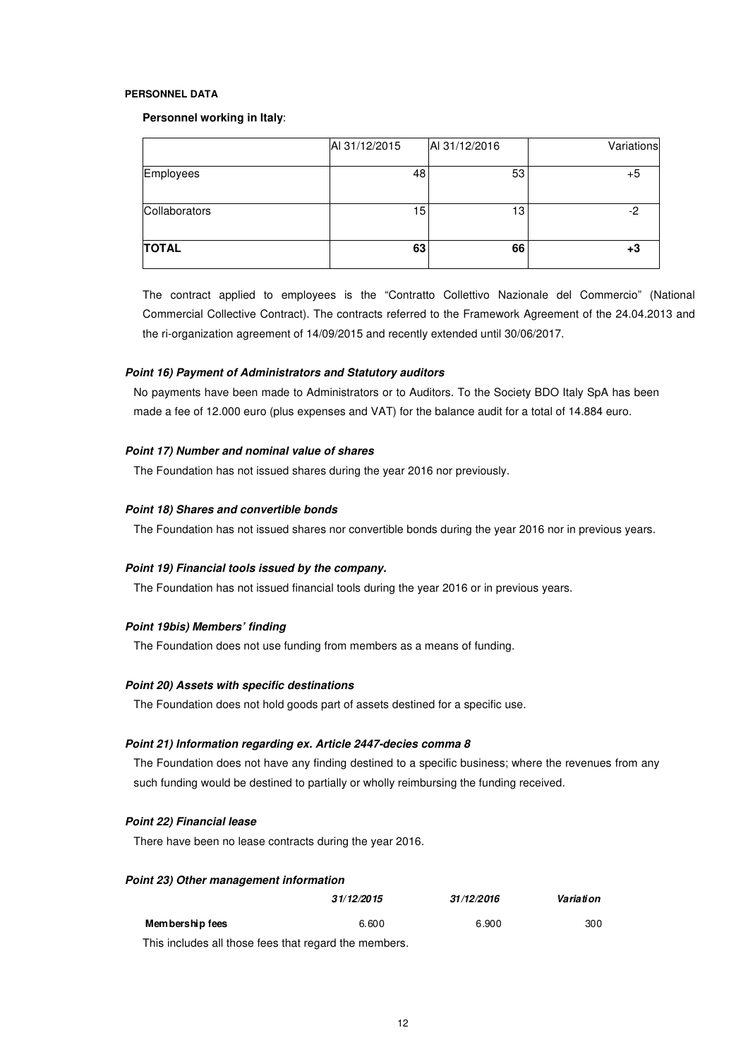#### **PERSONNEL DATA**

#### **Personnel working in Italy**:

| <b>TOTAL</b>  | 63            | 66            |            |
|---------------|---------------|---------------|------------|
| Collaborators | 15            | 13            |            |
| Employees     | 48            | 53            | +5         |
|               | AI 31/12/2015 | AI 31/12/2016 | Variations |

The contract applied to employees is the "Contratto Collettivo Nazionale del Commercio" (National Commercial Collective Contract). The contracts referred to the Framework Agreement of the 24.04.2013 and the ri-organization agreement of 14/09/2015 and recently extended until 30/06/2017.

#### **Point 16) Payment of Administrators and Statutory auditors**

No payments have been made to Administrators or to Auditors. To the Society BDO Italy SpA has been made a fee of 12.000 euro (plus expenses and VAT) for the balance audit for a total of 14.884 euro.

#### **Point 17) Number and nominal value of shares**

The Foundation has not issued shares during the year 2016 nor previously.

#### **Point 18) Shares and convertible bonds**

The Foundation has not issued shares nor convertible bonds during the year 2016 nor in previous years.

#### **Point 19) Financial tools issued by the company.**

The Foundation has not issued financial tools during the year 2016 or in previous years.

#### **Point 19bis) Members' finding**

The Foundation does not use funding from members as a means of funding.

### **Point 20) Assets with specific destinations**

The Foundation does not hold goods part of assets destined for a specific use.

#### **Point 21) Information regarding ex. Article 2447-decies comma 8**

The Foundation does not have any finding destined to a specific business; where the revenues from any such funding would be destined to partially or wholly reimbursing the funding received.

#### **Point 22) Financial lease**

There have been no lease contracts during the year 2016.

#### **Point 23) Other management information**

|                                                      | 31/12/2015 | 31/12/2016 | Variation |
|------------------------------------------------------|------------|------------|-----------|
| Membership fees                                      | 6.600      | 6.900      | 300       |
| This includes all those fees that regard the members |            |            |           |

nis includes all those fees that regard the members.